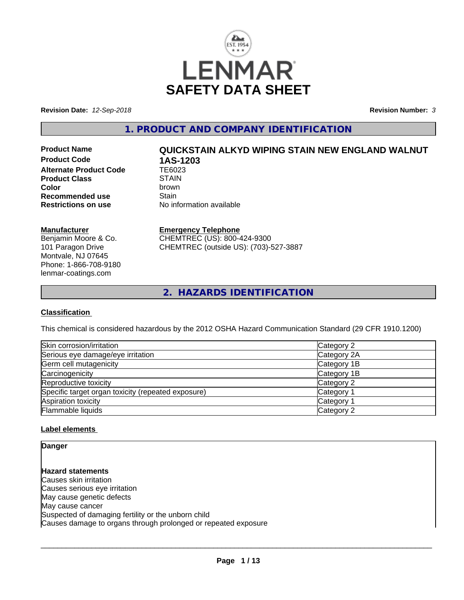

**Revision Date:** *12-Sep-2018* **Revision Number:** *3*

**1. PRODUCT AND COMPANY IDENTIFICATION**

**Product Code 1AS-1203**<br>Alternate Product Code 1E6023 **Alternate Product Code Product Class** STAIN<br> **Color** brown **Color** brown **Recommended use** Stain<br> **Restrictions on use** No inf

# **Product Name QUICKSTAIN ALKYD WIPING STAIN NEW ENGLAND WALNUT**

**No information available** 

# **Manufacturer**

Benjamin Moore & Co. 101 Paragon Drive Montvale, NJ 07645 Phone: 1-866-708-9180 lenmar-coatings.com

# **Emergency Telephone**

CHEMTREC (US): 800-424-9300 CHEMTREC (outside US): (703)-527-3887

**2. HAZARDS IDENTIFICATION**

# **Classification**

This chemical is considered hazardous by the 2012 OSHA Hazard Communication Standard (29 CFR 1910.1200)

| Skin corrosion/irritation                          | Category 2            |
|----------------------------------------------------|-----------------------|
| Serious eye damage/eye irritation                  | Category 2A           |
| Germ cell mutagenicity                             | Category 1B           |
| Carcinogenicity                                    | Category 1B           |
| Reproductive toxicity                              | Category 2            |
| Specific target organ toxicity (repeated exposure) | Category 1            |
| Aspiration toxicity                                | Category <sup>2</sup> |
| Flammable liquids                                  | Category 2            |

# **Label elements**

**Danger**

**Hazard statements** Causes skin irritation Causes serious eye irritation May cause genetic defects May cause cancer Suspected of damaging fertility or the unborn child Causes damage to organs through prolonged or repeated exposure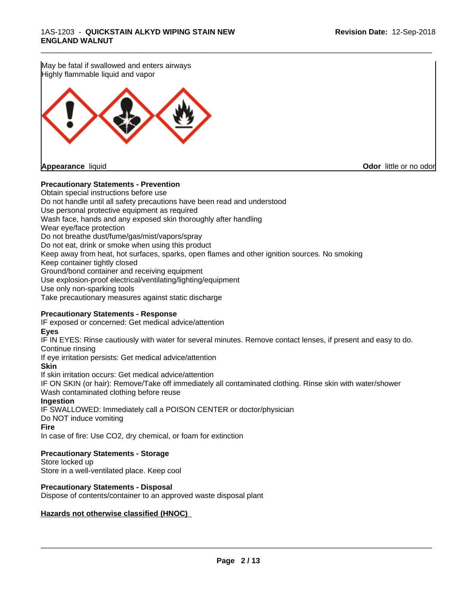May be fatal if swallowed and enters airways Highly flammable liquid and vapor

**Appearance** liquid **Odor in the original of the original of the original of the original of the original of the original of the original of the original of the original of the original of the original of the original of t** 

## **Precautionary Statements - Prevention**

Obtain special instructions before use Do not handle until all safety precautions have been read and understood Use personal protective equipment as required Wash face, hands and any exposed skin thoroughly after handling Wear eye/face protection Do not breathe dust/fume/gas/mist/vapors/spray Do not eat, drink or smoke when using this product Keep away from heat, hot surfaces, sparks, open flames and other ignition sources. No smoking Keep container tightly closed Ground/bond container and receiving equipment Use explosion-proof electrical/ventilating/lighting/equipment Use only non-sparking tools Take precautionary measures against static discharge

\_\_\_\_\_\_\_\_\_\_\_\_\_\_\_\_\_\_\_\_\_\_\_\_\_\_\_\_\_\_\_\_\_\_\_\_\_\_\_\_\_\_\_\_\_\_\_\_\_\_\_\_\_\_\_\_\_\_\_\_\_\_\_\_\_\_\_\_\_\_\_\_\_\_\_\_\_\_\_\_\_\_\_\_\_\_\_\_\_\_\_\_\_

## **Precautionary Statements - Response**

IF exposed or concerned: Get medical advice/attention

#### **Eyes**

IF IN EYES: Rinse cautiously with water for several minutes. Remove contact lenses, if present and easy to do. Continue rinsing

If eye irritation persists: Get medical advice/attention

#### **Skin**

If skin irritation occurs: Get medical advice/attention

IF ON SKIN (or hair): Remove/Take off immediately all contaminated clothing. Rinse skin with water/shower Wash contaminated clothing before reuse

#### **Ingestion**

IF SWALLOWED: Immediately call a POISON CENTER or doctor/physician Do NOT induce vomiting

**Fire**

In case of fire: Use CO2, dry chemical, or foam for extinction

# **Precautionary Statements - Storage**

Store locked up Store in a well-ventilated place. Keep cool

# **Precautionary Statements - Disposal**

Dispose of contents/container to an approved waste disposal plant

#### **Hazards not otherwise classified (HNOC)**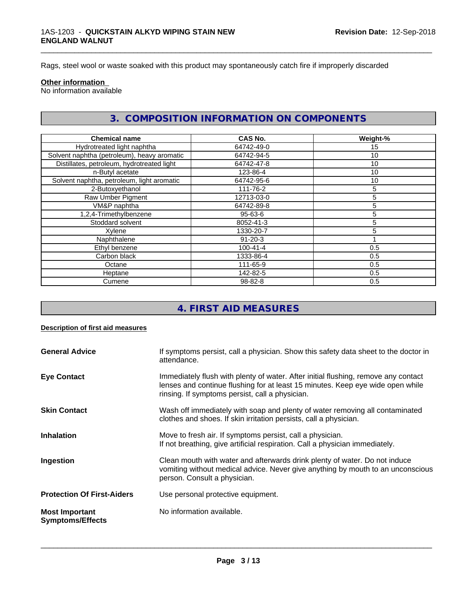Rags, steel wool or waste soaked with this product may spontaneously catch fire if improperly discarded

#### **Other information**

No information available

# **3. COMPOSITION INFORMATION ON COMPONENTS**

\_\_\_\_\_\_\_\_\_\_\_\_\_\_\_\_\_\_\_\_\_\_\_\_\_\_\_\_\_\_\_\_\_\_\_\_\_\_\_\_\_\_\_\_\_\_\_\_\_\_\_\_\_\_\_\_\_\_\_\_\_\_\_\_\_\_\_\_\_\_\_\_\_\_\_\_\_\_\_\_\_\_\_\_\_\_\_\_\_\_\_\_\_

| <b>Chemical name</b>                        | <b>CAS No.</b> | Weight-% |
|---------------------------------------------|----------------|----------|
| Hydrotreated light naphtha                  | 64742-49-0     | 15       |
| Solvent naphtha (petroleum), heavy aromatic | 64742-94-5     | 10       |
| Distillates, petroleum, hydrotreated light  | 64742-47-8     | 10       |
| n-Butyl acetate                             | 123-86-4       | 10       |
| Solvent naphtha, petroleum, light aromatic  | 64742-95-6     | 10       |
| 2-Butoxyethanol                             | 111-76-2       | 5        |
| Raw Umber Pigment                           | 12713-03-0     | 5        |
| VM&P naphtha                                | 64742-89-8     | 5        |
| 1,2,4-Trimethylbenzene                      | 95-63-6        | 5        |
| Stoddard solvent                            | 8052-41-3      | 5        |
| Xylene                                      | 1330-20-7      | 5        |
| Naphthalene                                 | $91 - 20 - 3$  |          |
| Ethyl benzene                               | $100 - 41 - 4$ | 0.5      |
| Carbon black                                | 1333-86-4      | 0.5      |
| Octane                                      | 111-65-9       | 0.5      |
| Heptane                                     | 142-82-5       | 0.5      |
| Cumene                                      | $98 - 82 - 8$  | 0.5      |

# **4. FIRST AID MEASURES**

#### **Description of first aid measures**

| <b>General Advice</b>                            | If symptoms persist, call a physician. Show this safety data sheet to the doctor in<br>attendance.                                                                                                                      |
|--------------------------------------------------|-------------------------------------------------------------------------------------------------------------------------------------------------------------------------------------------------------------------------|
| <b>Eye Contact</b>                               | Immediately flush with plenty of water. After initial flushing, remove any contact<br>lenses and continue flushing for at least 15 minutes. Keep eye wide open while<br>rinsing. If symptoms persist, call a physician. |
| <b>Skin Contact</b>                              | Wash off immediately with soap and plenty of water removing all contaminated<br>clothes and shoes. If skin irritation persists, call a physician.                                                                       |
| <b>Inhalation</b>                                | Move to fresh air. If symptoms persist, call a physician.<br>If not breathing, give artificial respiration. Call a physician immediately.                                                                               |
| Ingestion                                        | Clean mouth with water and afterwards drink plenty of water. Do not induce<br>vomiting without medical advice. Never give anything by mouth to an unconscious<br>person. Consult a physician.                           |
| <b>Protection Of First-Aiders</b>                | Use personal protective equipment.                                                                                                                                                                                      |
| <b>Most Important</b><br><b>Symptoms/Effects</b> | No information available.                                                                                                                                                                                               |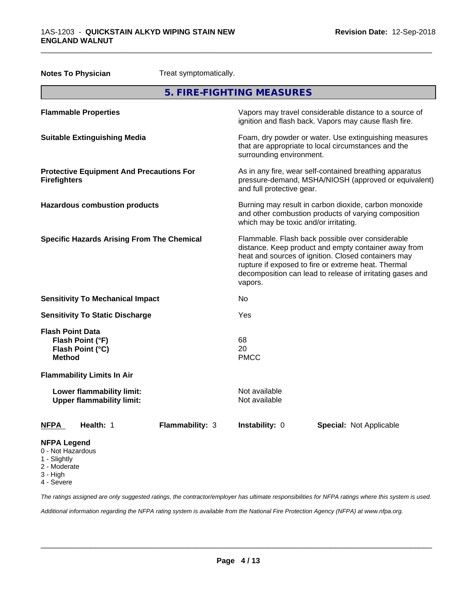| <b>Notes To Physician</b>                                                        | Treat symptomatically.                                                                                                                                                                                                                                                                         |
|----------------------------------------------------------------------------------|------------------------------------------------------------------------------------------------------------------------------------------------------------------------------------------------------------------------------------------------------------------------------------------------|
|                                                                                  | 5. FIRE-FIGHTING MEASURES                                                                                                                                                                                                                                                                      |
| <b>Flammable Properties</b>                                                      | Vapors may travel considerable distance to a source of<br>ignition and flash back. Vapors may cause flash fire.                                                                                                                                                                                |
| <b>Suitable Extinguishing Media</b>                                              | Foam, dry powder or water. Use extinguishing measures<br>that are appropriate to local circumstances and the<br>surrounding environment.                                                                                                                                                       |
| <b>Protective Equipment And Precautions For</b><br><b>Firefighters</b>           | As in any fire, wear self-contained breathing apparatus<br>pressure-demand, MSHA/NIOSH (approved or equivalent)<br>and full protective gear.                                                                                                                                                   |
| <b>Hazardous combustion products</b>                                             | Burning may result in carbon dioxide, carbon monoxide<br>and other combustion products of varying composition<br>which may be toxic and/or irritating.                                                                                                                                         |
| <b>Specific Hazards Arising From The Chemical</b>                                | Flammable. Flash back possible over considerable<br>distance. Keep product and empty container away from<br>heat and sources of ignition. Closed containers may<br>rupture if exposed to fire or extreme heat. Thermal<br>decomposition can lead to release of irritating gases and<br>vapors. |
| <b>Sensitivity To Mechanical Impact</b>                                          | No                                                                                                                                                                                                                                                                                             |
| <b>Sensitivity To Static Discharge</b>                                           | Yes                                                                                                                                                                                                                                                                                            |
| <b>Flash Point Data</b><br>Flash Point (°F)<br>Flash Point (°C)<br><b>Method</b> | 68<br>20<br><b>PMCC</b>                                                                                                                                                                                                                                                                        |
| <b>Flammability Limits In Air</b>                                                |                                                                                                                                                                                                                                                                                                |
| Lower flammability limit:<br><b>Upper flammability limit:</b>                    | Not available<br>Not available                                                                                                                                                                                                                                                                 |
| <b>NFPA</b><br>Health: 1<br>Flammability: 3                                      | Instability: 0<br><b>Special: Not Applicable</b>                                                                                                                                                                                                                                               |
| <b>NFPA Legend</b><br>0 - Not Hazardous<br>1 - Slightly<br>2 - Moderate          |                                                                                                                                                                                                                                                                                                |

3 - High

4 - Severe

*The ratings assigned are only suggested ratings, the contractor/employer has ultimate responsibilities for NFPA ratings where this system is used.*

*Additional information regarding the NFPA rating system is available from the National Fire Protection Agency (NFPA) at www.nfpa.org.*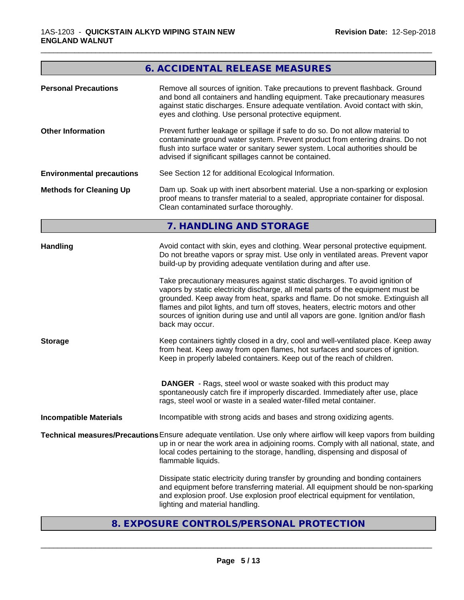# **6. ACCIDENTAL RELEASE MEASURES**

\_\_\_\_\_\_\_\_\_\_\_\_\_\_\_\_\_\_\_\_\_\_\_\_\_\_\_\_\_\_\_\_\_\_\_\_\_\_\_\_\_\_\_\_\_\_\_\_\_\_\_\_\_\_\_\_\_\_\_\_\_\_\_\_\_\_\_\_\_\_\_\_\_\_\_\_\_\_\_\_\_\_\_\_\_\_\_\_\_\_\_\_\_

| <b>Personal Precautions</b>       | Remove all sources of ignition. Take precautions to prevent flashback. Ground<br>and bond all containers and handling equipment. Take precautionary measures<br>against static discharges. Ensure adequate ventilation. Avoid contact with skin,<br>eyes and clothing. Use personal protective equipment.<br>Prevent further leakage or spillage if safe to do so. Do not allow material to<br>contaminate ground water system. Prevent product from entering drains. Do not<br>flush into surface water or sanitary sewer system. Local authorities should be<br>advised if significant spillages cannot be contained.                                                                                                                                                                                                                                                                                                                    |  |  |  |
|-----------------------------------|--------------------------------------------------------------------------------------------------------------------------------------------------------------------------------------------------------------------------------------------------------------------------------------------------------------------------------------------------------------------------------------------------------------------------------------------------------------------------------------------------------------------------------------------------------------------------------------------------------------------------------------------------------------------------------------------------------------------------------------------------------------------------------------------------------------------------------------------------------------------------------------------------------------------------------------------|--|--|--|
| <b>Other Information</b>          |                                                                                                                                                                                                                                                                                                                                                                                                                                                                                                                                                                                                                                                                                                                                                                                                                                                                                                                                            |  |  |  |
| <b>Environmental precautions</b>  | See Section 12 for additional Ecological Information.                                                                                                                                                                                                                                                                                                                                                                                                                                                                                                                                                                                                                                                                                                                                                                                                                                                                                      |  |  |  |
| <b>Methods for Cleaning Up</b>    | Dam up. Soak up with inert absorbent material. Use a non-sparking or explosion<br>proof means to transfer material to a sealed, appropriate container for disposal.<br>Clean contaminated surface thoroughly.                                                                                                                                                                                                                                                                                                                                                                                                                                                                                                                                                                                                                                                                                                                              |  |  |  |
|                                   | 7. HANDLING AND STORAGE                                                                                                                                                                                                                                                                                                                                                                                                                                                                                                                                                                                                                                                                                                                                                                                                                                                                                                                    |  |  |  |
| <b>Handling</b><br><b>Storage</b> | Avoid contact with skin, eyes and clothing. Wear personal protective equipment.<br>Do not breathe vapors or spray mist. Use only in ventilated areas. Prevent vapor<br>build-up by providing adequate ventilation during and after use.<br>Take precautionary measures against static discharges. To avoid ignition of<br>vapors by static electricity discharge, all metal parts of the equipment must be<br>grounded. Keep away from heat, sparks and flame. Do not smoke. Extinguish all<br>flames and pilot lights, and turn off stoves, heaters, electric motors and other<br>sources of ignition during use and until all vapors are gone. Ignition and/or flash<br>back may occur.<br>Keep containers tightly closed in a dry, cool and well-ventilated place. Keep away<br>from heat. Keep away from open flames, hot surfaces and sources of ignition.<br>Keep in properly labeled containers. Keep out of the reach of children. |  |  |  |
|                                   | <b>DANGER</b> - Rags, steel wool or waste soaked with this product may<br>spontaneously catch fire if improperly discarded. Immediately after use, place<br>rags, steel wool or waste in a sealed water-filled metal container.                                                                                                                                                                                                                                                                                                                                                                                                                                                                                                                                                                                                                                                                                                            |  |  |  |
| <b>Incompatible Materials</b>     | Incompatible with strong acids and bases and strong oxidizing agents.                                                                                                                                                                                                                                                                                                                                                                                                                                                                                                                                                                                                                                                                                                                                                                                                                                                                      |  |  |  |
|                                   | Technical measures/Precautions Ensure adequate ventilation. Use only where airflow will keep vapors from building<br>up in or near the work area in adjoining rooms. Comply with all national, state, and<br>local codes pertaining to the storage, handling, dispensing and disposal of<br>flammable liquids.                                                                                                                                                                                                                                                                                                                                                                                                                                                                                                                                                                                                                             |  |  |  |
|                                   | Dissipate static electricity during transfer by grounding and bonding containers<br>and equipment before transferring material. All equipment should be non-sparking<br>and explosion proof. Use explosion proof electrical equipment for ventilation,<br>lighting and material handling.                                                                                                                                                                                                                                                                                                                                                                                                                                                                                                                                                                                                                                                  |  |  |  |

# **8. EXPOSURE CONTROLS/PERSONAL PROTECTION**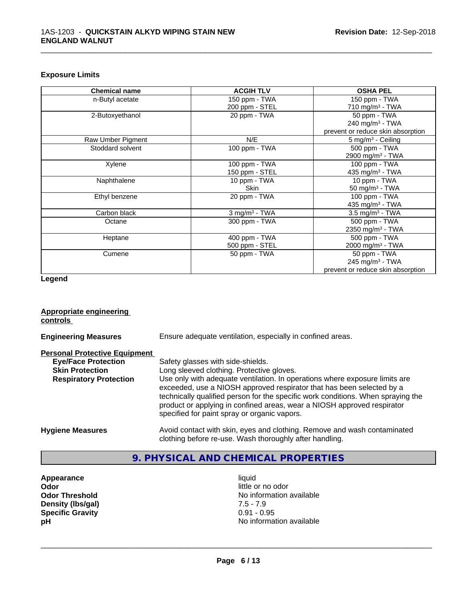## **Exposure Limits**

| <b>Chemical name</b> | <b>ACGIH TLV</b>            | <b>OSHA PEL</b>                   |
|----------------------|-----------------------------|-----------------------------------|
| n-Butyl acetate      | 150 ppm - TWA               | 150 ppm - TWA                     |
|                      | 200 ppm - STEL              | 710 mg/m $3$ - TWA                |
| 2-Butoxyethanol      | 20 ppm - TWA                | 50 ppm - TWA                      |
|                      |                             | 240 mg/m $3$ - TWA                |
|                      |                             | prevent or reduce skin absorption |
| Raw Umber Pigment    | N/E                         | 5 mg/m <sup>3</sup> - Ceiling     |
| Stoddard solvent     | 100 ppm - TWA               | 500 ppm - TWA                     |
|                      |                             | 2900 mg/m <sup>3</sup> - TWA      |
| Xylene               | 100 ppm - TWA               | 100 ppm - TWA                     |
|                      | 150 ppm - STEL              | 435 mg/m <sup>3</sup> - TWA       |
| Naphthalene          | 10 ppm - TWA                | 10 ppm - TWA                      |
|                      | Skin                        | 50 mg/m $3$ - TWA                 |
| Ethyl benzene        | 20 ppm - TWA                | 100 ppm - TWA                     |
|                      |                             | 435 mg/m <sup>3</sup> - TWA       |
| Carbon black         | $3$ mg/m <sup>3</sup> - TWA | $3.5 \text{ mg/m}^3$ - TWA        |
| Octane               | 300 ppm - TWA               | 500 ppm - TWA                     |
|                      |                             | 2350 mg/m <sup>3</sup> - TWA      |
| Heptane              | 400 ppm - TWA               | 500 ppm - TWA                     |
|                      | 500 ppm - STEL              | 2000 mg/m <sup>3</sup> - TWA      |
| Cumene               | 50 ppm - TWA                | 50 ppm - TWA                      |
|                      |                             | 245 mg/m $3$ - TWA                |
|                      |                             | prevent or reduce skin absorption |

\_\_\_\_\_\_\_\_\_\_\_\_\_\_\_\_\_\_\_\_\_\_\_\_\_\_\_\_\_\_\_\_\_\_\_\_\_\_\_\_\_\_\_\_\_\_\_\_\_\_\_\_\_\_\_\_\_\_\_\_\_\_\_\_\_\_\_\_\_\_\_\_\_\_\_\_\_\_\_\_\_\_\_\_\_\_\_\_\_\_\_\_\_

## **Legend**

## **Appropriate engineering controls**

| <b>Engineering Measures</b>          | Ensure adequate ventilation, especially in confined areas.                                                                                                                                                                                                                                                                                                          |
|--------------------------------------|---------------------------------------------------------------------------------------------------------------------------------------------------------------------------------------------------------------------------------------------------------------------------------------------------------------------------------------------------------------------|
| <b>Personal Protective Equipment</b> |                                                                                                                                                                                                                                                                                                                                                                     |
| <b>Eye/Face Protection</b>           | Safety glasses with side-shields.                                                                                                                                                                                                                                                                                                                                   |
| <b>Skin Protection</b>               | Long sleeved clothing. Protective gloves.                                                                                                                                                                                                                                                                                                                           |
| <b>Respiratory Protection</b>        | Use only with adequate ventilation. In operations where exposure limits are<br>exceeded, use a NIOSH approved respirator that has been selected by a<br>technically qualified person for the specific work conditions. When spraying the<br>product or applying in confined areas, wear a NIOSH approved respirator<br>specified for paint spray or organic vapors. |
| <b>Hygiene Measures</b>              | Avoid contact with skin, eyes and clothing. Remove and wash contaminated<br>clothing before re-use. Wash thoroughly after handling.                                                                                                                                                                                                                                 |

# **9. PHYSICAL AND CHEMICAL PROPERTIES**

**Appearance** liquid **odor** liquid **odor** little of little of little of little of little of little of little of little of little of little of little of little of little of little of little of little of little of little of l **Density (Ibs/gal)** 7.5 - 7.9<br> **Specific Gravity** 30.91 - 0.95 **Specific Gravity** 

little or no odor **Odor Threshold**<br> **Density (Ibs/gal)**<br> **Density (Ibs/gal)**<br> **Density (Ibs/gal)**<br> **Density (Ibs/gal) pH** No information available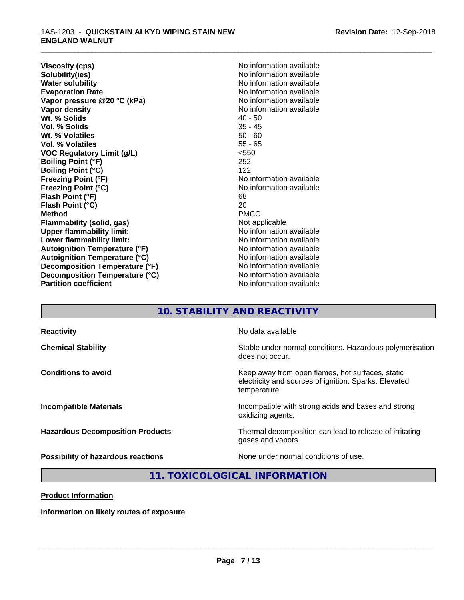**Viscosity (cps)** No information available<br> **Solubility(ies)** No information available **Solubility(ies)**<br> **No information available**<br> **Water solubility**<br> **Water solubility Evaporation Rate Conservation Rate** No information available<br> **Vapor pressure @20 °C (kPa)** No information available **Vapor** pressure @20 °C (kPa) **Vapor density Vapor** density **Wt. % Solids** 40 - 50<br> **Vol. % Solids** 35 - 45 **Vol. % Solids** 35 - 45 **Wt. % Volatiles Vol. % Volatiles** 55 - 65 **VOC Regulatory Limit (g/L)** <550 **Boiling Point (°F)** 252 **Boiling Point (°C)** 122<br>**Freezing Point (°F)** No i **Freezing Point (°F)**<br> **Freezing Point (°C)**<br> **Freezing Point (°C)**<br> **No** information available **Flash Point (°F)** 68 **Flash Point (°C)** 20<br> **Method** PMCC **Method** PMCC **Flammability (solid, gas)**<br> **Commability limit:**<br>
Under flammability limit:<br>
Under the Note information available **Upper flammability limit: Lower flammability limit:** No information available **Lower** flammability limit: **Autoignition Temperature (°F)** No information available **Autoignition Temperature (°C)** No information available **Decomposition Temperature (°F)**<br> **Decomposition Temperature (°C)** No information available **Decomposition Temperature (°C)**<br>Partition coefficient

**No information available Freezing Point (°C)** No information available **No information available** 

\_\_\_\_\_\_\_\_\_\_\_\_\_\_\_\_\_\_\_\_\_\_\_\_\_\_\_\_\_\_\_\_\_\_\_\_\_\_\_\_\_\_\_\_\_\_\_\_\_\_\_\_\_\_\_\_\_\_\_\_\_\_\_\_\_\_\_\_\_\_\_\_\_\_\_\_\_\_\_\_\_\_\_\_\_\_\_\_\_\_\_\_\_

# **10. STABILITY AND REACTIVITY**

| <b>Reactivity</b>                         | No data available                                                                                                         |
|-------------------------------------------|---------------------------------------------------------------------------------------------------------------------------|
| <b>Chemical Stability</b>                 | Stable under normal conditions. Hazardous polymerisation<br>does not occur.                                               |
| <b>Conditions to avoid</b>                | Keep away from open flames, hot surfaces, static<br>electricity and sources of ignition. Sparks. Elevated<br>temperature. |
| <b>Incompatible Materials</b>             | Incompatible with strong acids and bases and strong<br>oxidizing agents.                                                  |
| <b>Hazardous Decomposition Products</b>   | Thermal decomposition can lead to release of irritating<br>gases and vapors.                                              |
| <b>Possibility of hazardous reactions</b> | None under normal conditions of use.                                                                                      |

# **11. TOXICOLOGICAL INFORMATION**

**Product Information**

**Information on likely routes of exposure**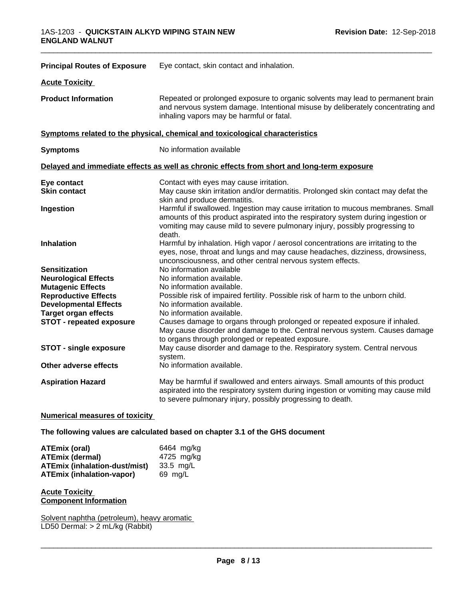| <b>Principal Routes of Exposure</b>                         | Eye contact, skin contact and inhalation.                                                                                                                                                                                                                     |  |  |  |
|-------------------------------------------------------------|---------------------------------------------------------------------------------------------------------------------------------------------------------------------------------------------------------------------------------------------------------------|--|--|--|
| <b>Acute Toxicity</b>                                       |                                                                                                                                                                                                                                                               |  |  |  |
| <b>Product Information</b>                                  | Repeated or prolonged exposure to organic solvents may lead to permanent brain<br>and nervous system damage. Intentional misuse by deliberately concentrating and<br>inhaling vapors may be harmful or fatal.                                                 |  |  |  |
|                                                             | Symptoms related to the physical, chemical and toxicological characteristics                                                                                                                                                                                  |  |  |  |
| <b>Symptoms</b>                                             | No information available                                                                                                                                                                                                                                      |  |  |  |
|                                                             | Delayed and immediate effects as well as chronic effects from short and long-term exposure                                                                                                                                                                    |  |  |  |
| Eye contact<br><b>Skin contact</b>                          | Contact with eyes may cause irritation.<br>May cause skin irritation and/or dermatitis. Prolonged skin contact may defat the<br>skin and produce dermatitis.                                                                                                  |  |  |  |
| Ingestion                                                   | Harmful if swallowed. Ingestion may cause irritation to mucous membranes. Small<br>amounts of this product aspirated into the respiratory system during ingestion or<br>vomiting may cause mild to severe pulmonary injury, possibly progressing to<br>death. |  |  |  |
| <b>Inhalation</b>                                           | Harmful by inhalation. High vapor / aerosol concentrations are irritating to the<br>eyes, nose, throat and lungs and may cause headaches, dizziness, drowsiness,<br>unconsciousness, and other central nervous system effects.                                |  |  |  |
| <b>Sensitization</b>                                        | No information available                                                                                                                                                                                                                                      |  |  |  |
| <b>Neurological Effects</b>                                 | No information available.                                                                                                                                                                                                                                     |  |  |  |
| <b>Mutagenic Effects</b>                                    | No information available.                                                                                                                                                                                                                                     |  |  |  |
| <b>Reproductive Effects</b><br><b>Developmental Effects</b> | Possible risk of impaired fertility. Possible risk of harm to the unborn child.<br>No information available.                                                                                                                                                  |  |  |  |
| <b>Target organ effects</b>                                 | No information available.                                                                                                                                                                                                                                     |  |  |  |
| <b>STOT - repeated exposure</b>                             | Causes damage to organs through prolonged or repeated exposure if inhaled.<br>May cause disorder and damage to the. Central nervous system. Causes damage<br>to organs through prolonged or repeated exposure.                                                |  |  |  |
| STOT - single exposure                                      | May cause disorder and damage to the. Respiratory system. Central nervous<br>system.                                                                                                                                                                          |  |  |  |
| Other adverse effects                                       | No information available.                                                                                                                                                                                                                                     |  |  |  |
| <b>Aspiration Hazard</b>                                    | May be harmful if swallowed and enters airways. Small amounts of this product<br>aspirated into the respiratory system during ingestion or vomiting may cause mild<br>to severe pulmonary injury, possibly progressing to death.                              |  |  |  |

## **Numerical measures of toxicity**

## **The following values are calculated based on chapter 3.1 of the GHS document**

| ATEmix (oral)                    | 6464 mg/ka |
|----------------------------------|------------|
| ATEmix (dermal)                  | 4725 mg/kg |
| ATEmix (inhalation-dust/mist)    | 33.5 mg/L  |
| <b>ATEmix (inhalation-vapor)</b> | 69 mg/L    |

## **Acute Toxicity Component Information**

Solvent naphtha (petroleum), heavy aromatic LD50 Dermal: > 2 mL/kg (Rabbit)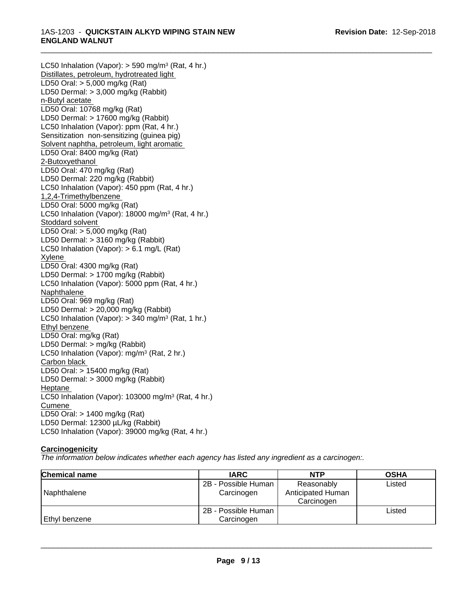LC50 Inhalation (Vapor): > 590 mg/m<sup>3</sup> (Rat, 4 hr.) Distillates, petroleum, hydrotreated light LD50 Oral: > 5,000 mg/kg (Rat) LD50 Dermal: > 3,000 mg/kg (Rabbit) n-Butyl acetate LD50 Oral: 10768 mg/kg (Rat) LD50 Dermal: > 17600 mg/kg (Rabbit) LC50 Inhalation (Vapor): ppm (Rat, 4 hr.) Sensitization non-sensitizing (guinea pig) Solvent naphtha, petroleum, light aromatic LD50 Oral: 8400 mg/kg (Rat) 2-Butoxyethanol LD50 Oral: 470 mg/kg (Rat) LD50 Dermal: 220 mg/kg (Rabbit) LC50 Inhalation (Vapor): 450 ppm (Rat, 4 hr.) 1,2,4-Trimethylbenzene LD50 Oral: 5000 mg/kg (Rat) LC50 Inhalation (Vapor): 18000 mg/m<sup>3</sup> (Rat, 4 hr.) Stoddard solvent LD50 Oral: > 5,000 mg/kg (Rat) LD50 Dermal: > 3160 mg/kg (Rabbit) LC50 Inhalation (Vapor): > 6.1 mg/L (Rat) Xylene LD50 Oral: 4300 mg/kg (Rat) LD50 Dermal: > 1700 mg/kg (Rabbit) LC50 Inhalation (Vapor): 5000 ppm (Rat, 4 hr.) Naphthalene LD50 Oral: 969 mg/kg (Rat) LD50 Dermal: > 20,000 mg/kg (Rabbit) LC50 Inhalation (Vapor): > 340 mg/m<sup>3</sup> (Rat, 1 hr.) Ethyl benzene LD50 Oral: mg/kg (Rat) LD50 Dermal: > mg/kg (Rabbit) LC50 Inhalation (Vapor): mg/m<sup>3</sup> (Rat, 2 hr.) Carbon black LD50 Oral: > 15400 mg/kg (Rat) LD50 Dermal: > 3000 mg/kg (Rabbit) Heptane LC50 Inhalation (Vapor): 103000 mg/m<sup>3</sup> (Rat, 4 hr.) Cumene LD50 Oral: > 1400 mg/kg (Rat) LD50 Dermal: 12300 µL/kg (Rabbit) LC50 Inhalation (Vapor): 39000 mg/kg (Rat, 4 hr.)

# **Carcinogenicity**

*The information below indicateswhether each agency has listed any ingredient as a carcinogen:.*

| <b>Chemical name</b> | <b>IARC</b>                       | <b>NTP</b>                                    | <b>OSHA</b> |
|----------------------|-----------------------------------|-----------------------------------------------|-------------|
| Naphthalene          | 2B - Possible Human<br>Carcinogen | Reasonably<br>Anticipated Human<br>Carcinogen | Listed      |
| Ethyl benzene        | 2B - Possible Human<br>Carcinogen |                                               | Listed      |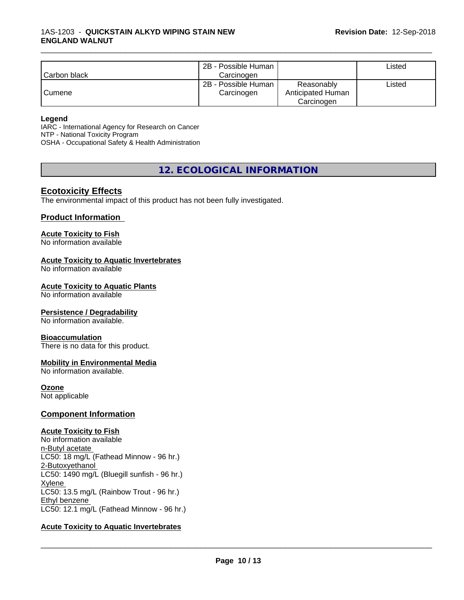|              | 2B - Possible Human |                   | ∟isted |
|--------------|---------------------|-------------------|--------|
| Carbon black | Carcinogen          |                   |        |
|              | 2B - Possible Human | Reasonably        | ∟isted |
| Cumene       | Carcinogen          | Anticipated Human |        |
|              |                     | Carcinogen        |        |

#### **Legend**

IARC - International Agency for Research on Cancer NTP - National Toxicity Program OSHA - Occupational Safety & Health Administration

**12. ECOLOGICAL INFORMATION**

# **Ecotoxicity Effects**

The environmental impact of this product has not been fully investigated.

# **Product Information**

#### **Acute Toxicity to Fish**

No information available

#### **Acute Toxicity to Aquatic Invertebrates**

No information available

#### **Acute Toxicity to Aquatic Plants**

No information available

#### **Persistence / Degradability**

No information available.

#### **Bioaccumulation**

There is no data for this product.

# **Mobility in Environmental Media**

No information available.

#### **Ozone**

Not applicable

#### **Component Information**

#### **Acute Toxicity to Fish**

No information available n-Butyl acetate LC50: 18 mg/L (Fathead Minnow - 96 hr.) 2-Butoxyethanol LC50: 1490 mg/L (Bluegill sunfish - 96 hr.) Xylene LC50: 13.5 mg/L (Rainbow Trout - 96 hr.) Ethyl benzene LC50: 12.1 mg/L (Fathead Minnow - 96 hr.)

# **Acute Toxicity to Aquatic Invertebrates**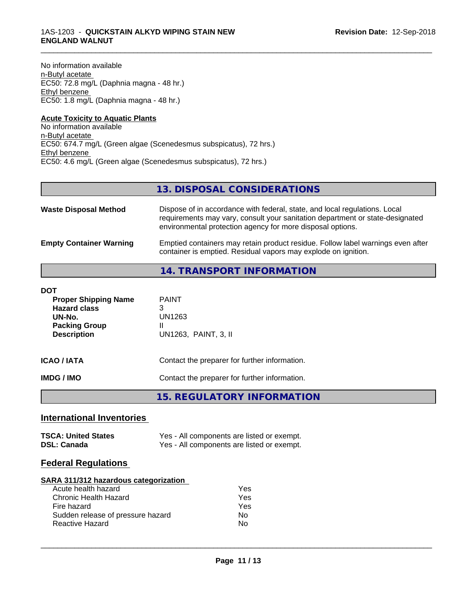No information available n-Butyl acetate EC50: 72.8 mg/L (Daphnia magna - 48 hr.) Ethyl benzene EC50: 1.8 mg/L (Daphnia magna - 48 hr.)

#### **Acute Toxicity to Aquatic Plants** No information available n-Butyl acetate EC50: 674.7 mg/L (Green algae (Scenedesmus subspicatus), 72 hrs.) Ethyl benzene EC50: 4.6 mg/L (Green algae (Scenedesmus subspicatus), 72 hrs.)

# **13. DISPOSAL CONSIDERATIONS**

\_\_\_\_\_\_\_\_\_\_\_\_\_\_\_\_\_\_\_\_\_\_\_\_\_\_\_\_\_\_\_\_\_\_\_\_\_\_\_\_\_\_\_\_\_\_\_\_\_\_\_\_\_\_\_\_\_\_\_\_\_\_\_\_\_\_\_\_\_\_\_\_\_\_\_\_\_\_\_\_\_\_\_\_\_\_\_\_\_\_\_\_\_

| <b>Waste Disposal Method</b>   | Dispose of in accordance with federal, state, and local regulations. Local<br>requirements may vary, consult your sanitation department or state-designated<br>environmental protection agency for more disposal options. |
|--------------------------------|---------------------------------------------------------------------------------------------------------------------------------------------------------------------------------------------------------------------------|
| <b>Empty Container Warning</b> | Emptied containers may retain product residue. Follow label warnings even after<br>container is emptied. Residual vapors may explode on ignition.                                                                         |

# **14. TRANSPORT INFORMATION**

| DOT<br><b>Proper Shipping Name</b><br><b>Hazard class</b><br>UN-No.<br><b>Packing Group</b><br><b>Description</b> | <b>PAINT</b><br>3<br>UN1263<br>Ш<br>UN1263, PAINT, 3, II |
|-------------------------------------------------------------------------------------------------------------------|----------------------------------------------------------|
| ICAO / IATA                                                                                                       | Contact the preparer for further information.            |
| IMDG / IMO                                                                                                        | Contact the preparer for further information.            |

**15. REGULATORY INFORMATION**

# **International Inventories**

| <b>TSCA: United States</b> | Yes - All components are listed or exempt. |
|----------------------------|--------------------------------------------|
| <b>DSL: Canada</b>         | Yes - All components are listed or exempt. |

# **Federal Regulations**

#### **SARA 311/312 hazardous categorization**

| Acute health hazard               | Yes |
|-----------------------------------|-----|
| Chronic Health Hazard             | Yes |
| Fire hazard                       | Yes |
| Sudden release of pressure hazard | N٥  |
| Reactive Hazard                   | N٥  |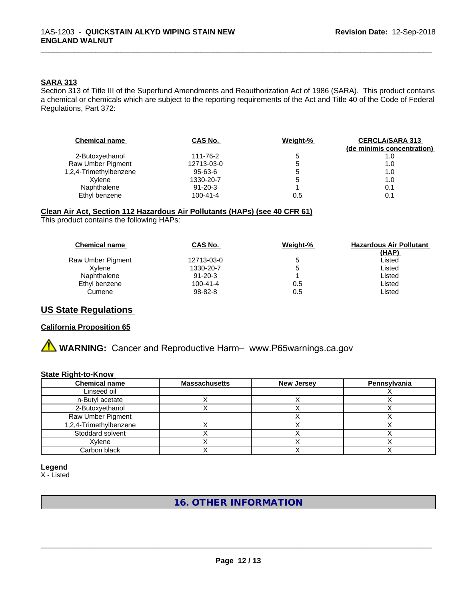## **SARA 313**

Section 313 of Title III of the Superfund Amendments and Reauthorization Act of 1986 (SARA). This product contains a chemical or chemicals which are subject to the reporting requirements of the Act and Title 40 of the Code of Federal Regulations, Part 372:

\_\_\_\_\_\_\_\_\_\_\_\_\_\_\_\_\_\_\_\_\_\_\_\_\_\_\_\_\_\_\_\_\_\_\_\_\_\_\_\_\_\_\_\_\_\_\_\_\_\_\_\_\_\_\_\_\_\_\_\_\_\_\_\_\_\_\_\_\_\_\_\_\_\_\_\_\_\_\_\_\_\_\_\_\_\_\_\_\_\_\_\_\_

| <b>Chemical name</b>   | CAS No.        | Weight-% | <b>CERCLA/SARA 313</b><br>(de minimis concentration) |
|------------------------|----------------|----------|------------------------------------------------------|
| 2-Butoxyethanol        | 111-76-2       | b        | 1.0                                                  |
| Raw Umber Pigment      | 12713-03-0     | b        | 1.0                                                  |
| 1,2,4-Trimethylbenzene | 95-63-6        | 5        | 1.0                                                  |
| Xylene                 | 1330-20-7      | b        | 1.0                                                  |
| Naphthalene            | $91 - 20 - 3$  |          | 0.1                                                  |
| Ethyl benzene          | $100 - 41 - 4$ | 0.5      | 0.1                                                  |

# **Clean Air Act,Section 112 Hazardous Air Pollutants (HAPs) (see 40 CFR 61)**

This product contains the following HAPs:

| CAS No.        | Weight-%     | <b>Hazardous Air Pollutant</b> |
|----------------|--------------|--------------------------------|
|                |              | (HAP)                          |
| 12713-03-0     | $\mathbf{D}$ | ∟isted                         |
| 1330-20-7      |              | ∟isted                         |
| $91 - 20 - 3$  |              | ∟isted                         |
| $100 - 41 - 4$ | 0.5          | Listed                         |
| 98-82-8        | 0.5          | Listed                         |
|                |              |                                |

# **US State Regulations**

#### **California Proposition 65**

**A WARNING:** Cancer and Reproductive Harm– www.P65warnings.ca.gov

## **State Right-to-Know**

| <b>Chemical name</b>   | <b>Massachusetts</b> | <b>New Jersey</b> | Pennsylvania |
|------------------------|----------------------|-------------------|--------------|
| Linseed oil            |                      |                   |              |
| n-Butyl acetate        |                      |                   |              |
| 2-Butoxyethanol        |                      |                   |              |
| Raw Umber Pigment      |                      |                   |              |
| 1,2,4-Trimethylbenzene |                      |                   |              |
| Stoddard solvent       |                      |                   |              |
| Xylene                 |                      |                   |              |
| Carbon black           |                      |                   |              |

## **Legend**

X - Listed

# **16. OTHER INFORMATION**